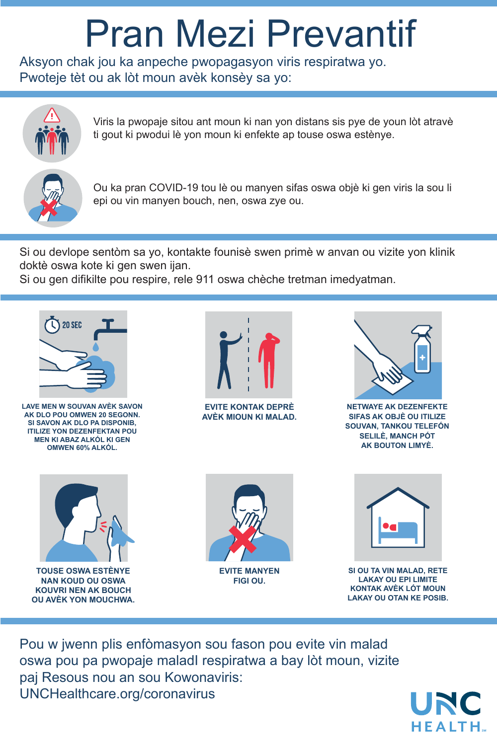Aksyon chak jou ka anpeche pwopagasyon viris respiratwa yo. Pwoteje tèt ou ak lòt moun avèk konsèy sa yo:



Pou w jwenn plis enfòmasyon sou fason pou evite vin malad oswa pou pa pwopaje maladI respiratwa a bay lòt moun, vizite paj Resous nou an sou Kowonaviris: UNCHealthcare.org/coronavirus



Viris la pwopaje sitou ant moun ki nan yon distans sis pye de youn lòt atravè ti gout ki pwodui lè yon moun ki enfekte ap touse oswa estènye.



Ou ka pran COVID-19 tou lè ou manyen sifas oswa objè ki gen viris la sou li epi ou vin manyen bouch, nen, oswa zye ou.

Si ou devlope sentòm sa yo, kontakte founisè swen primè w anvan ou vizite yon klinik doktè oswa kote ki gen swen ijan.

Si ou gen difikilte pou respire, rele 911 oswa chèche tretman imedyatman.

## Pran Mezi Prevantif



**LAVE MEN W SOUVAN AVÈK SAVON AK DLO POU OMWEN 20 SEGONN. SI SAVON AK DLO PA DISPONIB, ITILIZE YON DEZENFEKTAN POU MEN KI ABAZ ALKÓL KI GEN OMWEN 60% ALKÓL.**



**EVITE KONTAK DEPRÈ AVÈK MIOUN KI MALAD.**



**NETWAYE AK DEZENFEKTE SIFAS AK OBJÈ OU ITILIZE SOUVAN, TANKOU TELEFÓN SELILÈ, MANCH PÓT AK BOUTON LIMYÈ.**







**TOUSE OSWA ESTÈNYE NAN KOUD OU OSWA KOUVRI NEN AK BOUCH OU AVÈK YON MOUCHWA.**

**EVITE MANYEN FIGI OU.**